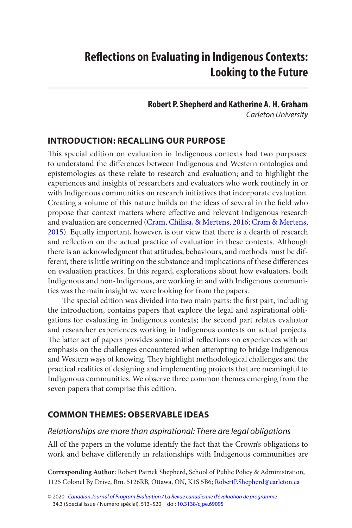#### **Robert P. Shepherd and Katherine A. H. Graham** Carleton University

## <span id="page-0-0"></span>**INTRODUCTION: RECALLING OUR PURPOSE**

 This special edition on evaluation in Indigenous contexts had two purposes: to understand the differences between Indigenous and Western ontologies and epistemologies as these relate to research and evaluation; and to highlight the experiences and insights of researchers and evaluators who work routinely in or with Indigenous communities on research initiatives that incorporate evaluation. Creating a volume of this nature builds on the ideas of several in the field who propose that context matters where effective and relevant Indigenous research and evaluation are concerned ([Cram, Chilisa, & Mertens, 2016; Cram & Mertens,](#page-7-0)  [2015](#page-7-0)). Equally important, however, is our view that there is a dearth of research and reflection on the actual practice of evaluation in these contexts. Although there is an acknowledgment that attitudes, behaviours, and methods must be different, there is little writing on the substance and implications of these differences on evaluation practices. In this regard, explorations about how evaluators, both Indigenous and non-Indigenous, are working in and with Indigenous communities was the main insight we were looking for from the papers.

 The special edition was divided into two main parts: the first part, including the introduction, contains papers that explore the legal and aspirational obligations for evaluating in Indigenous contexts; the second part relates evaluator and researcher experiences working in Indigenous contexts on actual projects. The latter set of papers provides some initial reflections on experiences with an emphasis on the challenges encountered when attempting to bridge Indigenous and Western ways of knowing. They highlight methodological challenges and the practical realities of designing and implementing projects that are meaningful to Indigenous communities. We observe three common themes emerging from the seven papers that comprise this edition.

## **COMMON THEMES: OBSERVABLE IDEAS**

#### Relationships are more than aspirational: There are legal obligations

All of the papers in the volume identify the fact that the Crown's obligations to work and behave differently in relationships with Indigenous communities are

**Corresponding Author:** Robert Patrick Shepherd, School of Public Policy & Administration, 1125 Colonel By Drive, Rm. 5126RB, Ottawa, ON, K1S 5B6; [RobertP.Shepherd@carleton.ca](mailto:RobertP.Shepherd@carleton.ca) 

<sup>© 2020</sup> [Canadian Journal of Program Evaluation / La Revue canadienne d'évaluation de programme](https://www.utpjournals.press/loi/cjpe)  34.3 (Special Issue / Numéro spécial), 513–520 doi: [10.3138/cjpe.69095](https://doi.org/10.3138/cjpe.69095)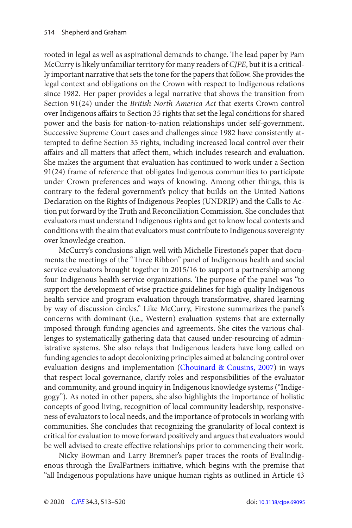<span id="page-1-0"></span>rooted in legal as well as aspirational demands to change. The lead paper by Pam McCurry is likely unfamiliar territory for many readers of CJPE, but it is a critically important narrative that sets the tone for the papers that follow. She provides the legal context and obligations on the Crown with respect to Indigenous relations since 1982. Her paper provides a legal narrative that shows the transition from Section 91(24) under the British North America Act that exerts Crown control over Indigenous affairs to Section 35 rights that set the legal conditions for shared power and the basis for nation-to-nation relationships under self-government. Successive Supreme Court cases and challenges since 1982 have consistently attempted to define Section 35 rights, including increased local control over their affairs and all matters that affect them, which includes research and evaluation. She makes the argument that evaluation has continued to work under a Section 91(24) frame of reference that obligates Indigenous communities to participate under Crown preferences and ways of knowing. Among other things, this is contrary to the federal government's policy that builds on the United Nations Declaration on the Rights of Indigenous Peoples (UNDRIP) and the Calls to Action put forward by the Truth and Reconciliation Commission. She concludes that evaluators must understand Indigenous rights and get to know local contexts and conditions with the aim that evaluators must contribute to Indigenous sovereignty over knowledge creation.

McCurry's conclusions align well with Michelle Firestone's paper that documents the meetings of the "Three Ribbon" panel of Indigenous health and social service evaluators brought together in 2015/16 to support a partnership among four Indigenous health service organizations. The purpose of the panel was "to support the development of wise practice guidelines for high quality Indigenous health service and program evaluation through transformative, shared learning by way of discussion circles." Like McCurry, Firestone summarizes the panel's concerns with dominant (i.e., Western) evaluation systems that are externally imposed through funding agencies and agreements. She cites the various challenges to systematically gathering data that caused under-resourcing of administrative systems. She also relays that Indigenous leaders have long called on funding agencies to adopt decolonizing principles aimed at balancing control over evaluation designs and implementation ([Chouinard & Cousins, 2007\)](#page-7-0) in ways that respect local governance, clarify roles and responsibilities of the evaluator and community, and ground inquiry in Indigenous knowledge systems ("Indigegogy"). As noted in other papers, she also highlights the importance of holistic concepts of good living, recognition of local community leadership, responsiveness of evaluators to local needs, and the importance of protocols in working with communities. She concludes that recognizing the granularity of local context is critical for evaluation to move forward positively and argues that evaluators would be well advised to create effective relationships prior to commencing their work.

Nicky Bowman and Larry Bremner's paper traces the roots of EvalIndigenous through the EvalPartners initiative, which begins with the premise that "all Indigenous populations have unique human rights as outlined in Article 43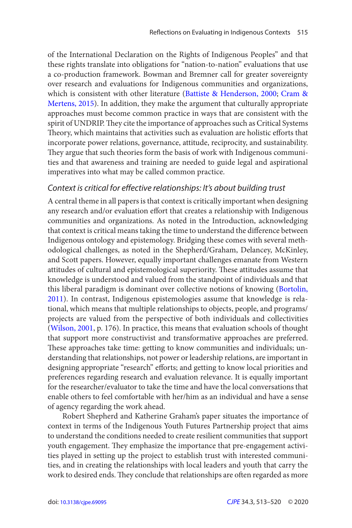<span id="page-2-0"></span>of the International Declaration on the Rights of Indigenous Peoples" and that these rights translate into obligations for "nation-to-nation" evaluations that use a co-production framework. Bowman and Bremner call for greater sovereignty over research and evaluations for Indigenous communities and organizations, which is consistent with other literature ([Battiste & Henderson, 2000](#page-7-0); Cram & [Mertens, 2015](#page-7-0)). In addition, they make the argument that culturally appropriate approaches must become common practice in ways that are consistent with the spirit of UNDRIP. They cite the importance of approaches such as Critical Systems Theory, which maintains that activities such as evaluation are holistic efforts that incorporate power relations, governance, attitude, reciprocity, and sustainability. They argue that such theories form the basis of work with Indigenous communities and that awareness and training are needed to guide legal and aspirational imperatives into what may be called common practice.

#### Context is critical for effective relationships: It's about building trust

A central theme in all papers is that context is critically important when designing any research and/or evaluation effort that creates a relationship with Indigenous communities and organizations. As noted in the Introduction, acknowledging that context is critical means taking the time to understand the difference between Indigenous ontology and epistemology. Bridging these comes with several methodological challenges, as noted in the Shepherd/Graham, Delancey, McKinley, and Scott papers. However, equally important challenges emanate from Western attitudes of cultural and epistemological superiority. These attitudes assume that knowledge is understood and valued from the standpoint of individuals and that this liberal paradigm is dominant over collective notions of knowing ([Bortolin,](#page-7-0)  [2011](#page-7-0)). In contrast, Indigenous epistemologies assume that knowledge is relational, which means that multiple relationships to objects, people, and programs/ projects are valued from the perspective of both individuals and collectivities ([Wilson, 2001](#page-7-0), p. 176). In practice, this means that evaluation schools of thought that support more constructivist and transformative approaches are preferred. These approaches take time: getting to know communities and individuals; understanding that relationships, not power or leadership relations, are important in designing appropriate "research" efforts; and getting to know local priorities and preferences regarding research and evaluation relevance. It is equally important for the researcher/evaluator to take the time and have the local conversations that enable others to feel comfortable with her/him as an individual and have a sense of agency regarding the work ahead.

Robert Shepherd and Katherine Graham's paper situates the importance of context in terms of the Indigenous Youth Futures Partnership project that aims to understand the conditions needed to create resilient communities that support youth engagement. They emphasize the importance that pre-engagement activities played in setting up the project to establish trust with interested communities, and in creating the relationships with local leaders and youth that carry the work to desired ends. They conclude that relationships are often regarded as more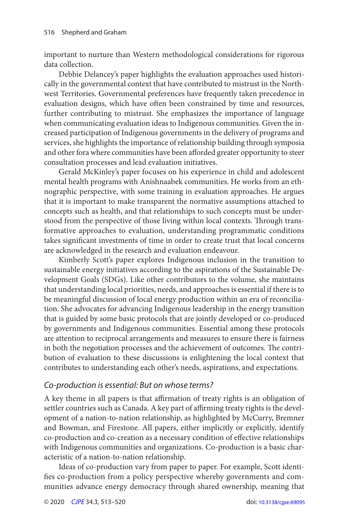important to nurture than Western methodological considerations for rigorous data collection.

Debbie Delancey's paper highlights the evaluation approaches used historically in the governmental context that have contributed to mistrust in the Northwest Territories. Governmental preferences have frequently taken precedence in evaluation designs, which have often been constrained by time and resources, further contributing to mistrust. She emphasizes the importance of language when communicating evaluation ideas to Indigenous communities. Given the increased participation of Indigenous governments in the delivery of programs and services, she highlights the importance of relationship building through symposia and other fora where communities have been afforded greater opportunity to steer consultation processes and lead evaluation initiatives.

Gerald McKinley's paper focuses on his experience in child and adolescent mental health programs with Anishnaabek communities. He works from an ethnographic perspective, with some training in evaluation approaches. He argues that it is important to make transparent the normative assumptions attached to concepts such as health, and that relationships to such concepts must be understood from the perspective of those living within local contexts. Through transformative approaches to evaluation, understanding programmatic conditions takes significant investments of time in order to create trust that local concerns are acknowledged in the research and evaluation endeavour.

Kimberly Scott's paper explores Indigenous inclusion in the transition to sustainable energy initiatives according to the aspirations of the Sustainable Development Goals (SDGs). Like other contributors to the volume, she maintains that understanding local priorities, needs, and approaches is essential if there is to be meaningful discussion of local energy production within an era of reconciliation. She advocates for advancing Indigenous leadership in the energy transition that is guided by some basic protocols that are jointly developed or co-produced by governments and Indigenous communities. Essential among these protocols are attention to reciprocal arrangements and measures to ensure there is fairness in both the negotiation processes and the achievement of outcomes. The contribution of evaluation to these discussions is enlightening the local context that contributes to understanding each other's needs, aspirations, and expectations.

#### Co-production is essential: But on whose terms?

A key theme in all papers is that affirmation of treaty rights is an obligation of settler countries such as Canada. A key part of affirming treaty rights is the development of a nation-to-nation relationship, as highlighted by McCurry, Bremner and Bowman, and Firestone. All papers, either implicitly or explicitly, identify co-production and co-creation as a necessary condition of effective relationships with Indigenous communities and organizations. Co-production is a basic characteristic of a nation-to-nation relationship.

Ideas of co-production vary from paper to paper. For example, Scott identifies co-production from a policy perspective whereby governments and communities advance energy democracy through shared ownership, meaning that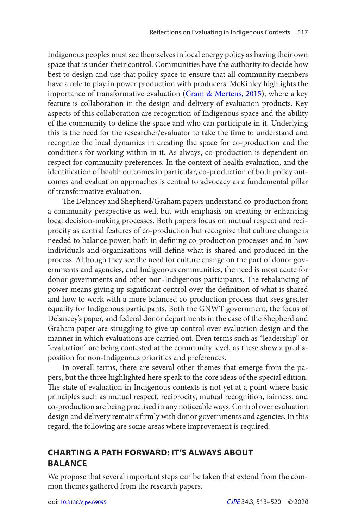Indigenous peoples must see themselves in local energy policy as having their own space that is under their control. Communities have the authority to decide how best to design and use that policy space to ensure that all community members have a role to play in power production with producers. McKinley highlights the importance of transformative evaluation [\(Cram & Mertens, 2015\)](#page-7-0), where a key feature is collaboration in the design and delivery of evaluation products. Key aspects of this collaboration are recognition of Indigenous space and the ability of the community to define the space and who can participate in it. Underlying this is the need for the researcher/evaluator to take the time to understand and recognize the local dynamics in creating the space for co-production and the conditions for working within in it. As always, co-production is dependent on respect for community preferences. In the context of health evaluation, and the identification of health outcomes in particular, co-production of both policy outcomes and evaluation approaches is central to advocacy as a fundamental pillar of transformative evaluation.

 The Delancey and Shepherd/Graham papers understand co-production from a community perspective as well, but with emphasis on creating or enhancing local decision-making processes. Both papers focus on mutual respect and reciprocity as central features of co-production but recognize that culture change is needed to balance power, both in defining co-production processes and in how individuals and organizations will define what is shared and produced in the process. Although they see the need for culture change on the part of donor governments and agencies, and Indigenous communities, the need is most acute for donor governments and other non-Indigenous participants. The rebalancing of power means giving up significant control over the definition of what is shared and how to work with a more balanced co-production process that sees greater equality for Indigenous participants. Both the GNWT government, the focus of Delancey's paper, and federal donor departments in the case of the Shepherd and Graham paper are struggling to give up control over evaluation design and the manner in which evaluations are carried out. Even terms such as "leadership" or "evaluation" are being contested at the community level, as these show a predisposition for non-Indigenous priorities and preferences.

In overall terms, there are several other themes that emerge from the papers, but the three highlighted here speak to the core ideas of the special edition. The state of evaluation in Indigenous contexts is not yet at a point where basic principles such as mutual respect, reciprocity, mutual recognition, fairness, and co-production are being practised in any noticeable ways. Control over evaluation design and delivery remains firmly with donor governments and agencies. In this regard, the following are some areas where improvement is required.

## **CHARTING A PATH FORWARD: IT'S ALWAYS ABOUT BALANCE**

We propose that several important steps can be taken that extend from the common themes gathered from the research papers.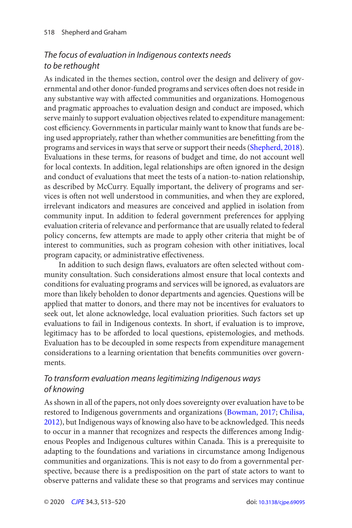# <span id="page-5-0"></span>The focus of evaluation in Indigenous contexts needs to be rethought

As indicated in the themes section, control over the design and delivery of governmental and other donor-funded programs and services often does not reside in any substantive way with affected communities and organizations. Homogenous and pragmatic approaches to evaluation design and conduct are imposed, which serve mainly to support evaluation objectives related to expenditure management: cost efficiency. Governments in particular mainly want to know that funds are being used appropriately, rather than whether communities are benefitting from the programs and services in ways that serve or support their needs ([Shepherd, 2018\)](#page-7-0). Evaluations in these terms, for reasons of budget and time, do not account well for local contexts. In addition, legal relationships are often ignored in the design and conduct of evaluations that meet the tests of a nation-to-nation relationship, as described by McCurry. Equally important, the delivery of programs and services is often not well understood in communities, and when they are explored, irrelevant indicators and measures are conceived and applied in isolation from community input. In addition to federal government preferences for applying evaluation criteria of relevance and performance that are usually related to federal policy concerns, few attempts are made to apply other criteria that might be of interest to communities, such as program cohesion with other initiatives, local program capacity, or administrative effectiveness.

In addition to such design flaws, evaluators are often selected without community consultation. Such considerations almost ensure that local contexts and conditions for evaluating programs and services will be ignored, as evaluators are more than likely beholden to donor departments and agencies. Questions will be applied that matter to donors, and there may not be incentives for evaluators to seek out, let alone acknowledge, local evaluation priorities. Such factors set up evaluations to fail in Indigenous contexts. In short, if evaluation is to improve, legitimacy has to be afforded to local questions, epistemologies, and methods. Evaluation has to be decoupled in some respects from expenditure management considerations to a learning orientation that benefits communities over governments.

# To transform evaluation means legitimizing Indigenous ways of knowing

As shown in all of the papers, not only does sovereignty over evaluation have to be restored to Indigenous governments and organizations ([Bowman, 2017](#page-7-0); [Chilisa,](#page-7-0)  [2012](#page-7-0)), but Indigenous ways of knowing also have to be acknowledged. This needs to occur in a manner that recognizes and respects the differences among Indigenous Peoples and Indigenous cultures within Canada. This is a prerequisite to adapting to the foundations and variations in circumstance among Indigenous communities and organizations. This is not easy to do from a governmental perspective, because there is a predisposition on the part of state actors to want to observe patterns and validate these so that programs and services may continue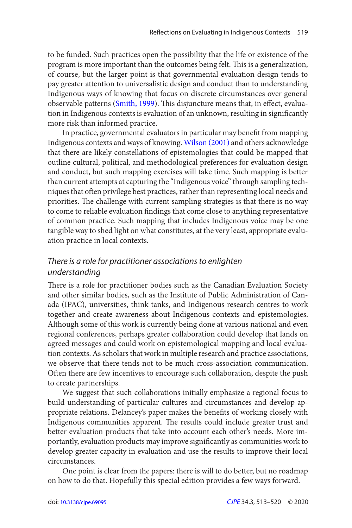<span id="page-6-0"></span>to be funded. Such practices open the possibility that the life or existence of the program is more important than the outcomes being felt. This is a generalization, of course, but the larger point is that governmental evaluation design tends to pay greater attention to universalistic design and conduct than to understanding Indigenous ways of knowing that focus on discrete circumstances over general observable patterns ([Smith, 1999](#page-7-0)). This disjuncture means that, in effect, evaluation in Indigenous contexts is evaluation of an unknown, resulting in significantly more risk than informed practice.

In practice, governmental evaluators in particular may benefit from mapping Indigenous contexts and ways of knowing. Wilson (2001) and others acknowledge that there are likely constellations of epistemologies that could be mapped that outline cultural, political, and methodological preferences for evaluation design and conduct, but such mapping exercises will take time. Such mapping is better than current attempts at capturing the "Indigenous voice" through sampling techniques that often privilege best practices, rather than representing local needs and priorities. The challenge with current sampling strategies is that there is no way to come to reliable evaluation findings that come close to anything representative of common practice. Such mapping that includes Indigenous voice may be one tangible way to shed light on what constitutes, at the very least, appropriate evaluation practice in local contexts.

## There is a role for practitioner associations to enlighten understanding

 There is a role for practitioner bodies such as the Canadian Evaluation Society and other similar bodies, such as the Institute of Public Administration of Canada (IPAC), universities, think tanks, and Indigenous research centres to work together and create awareness about Indigenous contexts and epistemologies. Although some of this work is currently being done at various national and even regional conferences, perhaps greater collaboration could develop that lands on agreed messages and could work on epistemological mapping and local evaluation contexts. As scholars that work in multiple research and practice associations, we observe that there tends not to be much cross-association communication. Often there are few incentives to encourage such collaboration, despite the push to create partnerships.

We suggest that such collaborations initially emphasize a regional focus to build understanding of particular cultures and circumstances and develop appropriate relations. Delancey's paper makes the benefits of working closely with Indigenous communities apparent. The results could include greater trust and better evaluation products that take into account each other's needs. More importantly, evaluation products may improve significantly as communities work to develop greater capacity in evaluation and use the results to improve their local circumstances.

One point is clear from the papers: there is will to do better, but no roadmap on how to do that. Hopefully this special edition provides a few ways forward.